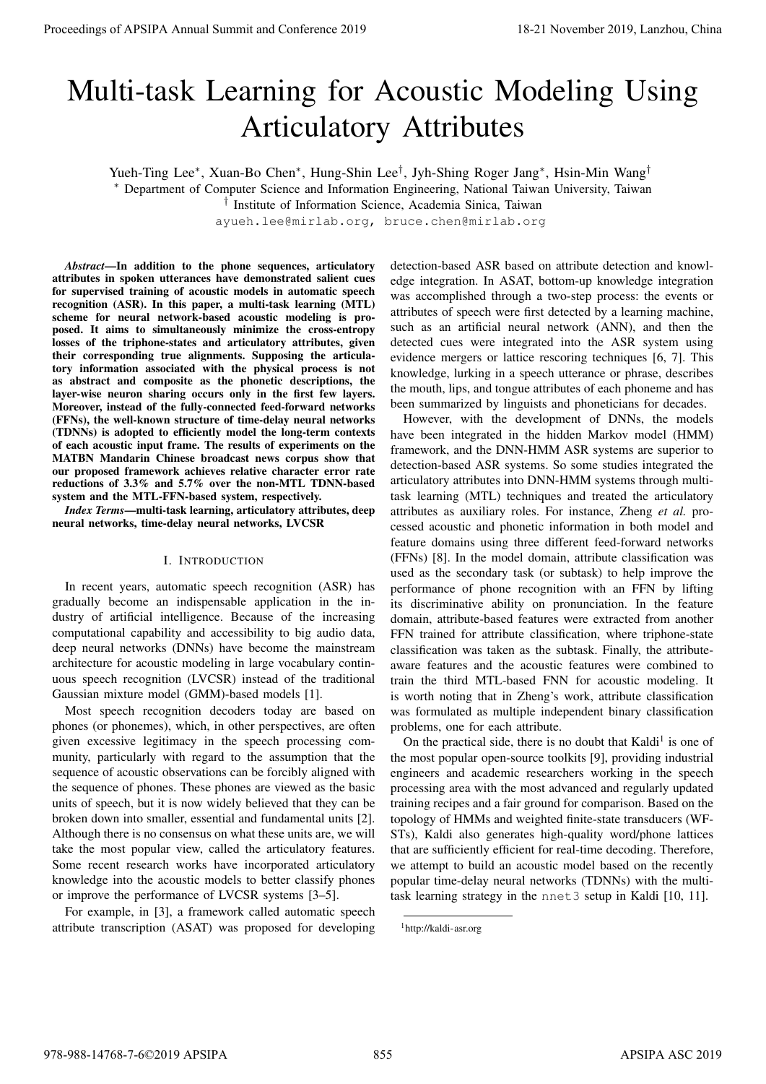# Multi-task Learning for Acoustic Modeling Using Articulatory Attributes

Yueh-Ting Lee<sup>∗</sup>, Xuan-Bo Chen<sup>∗</sup>, Hung-Shin Lee<sup>†</sup>, Jyh-Shing Roger Jang<sup>∗</sup>, Hsin-Min Wang<sup>†</sup>

<sup>∗</sup> Department of Computer Science and Information Engineering, National Taiwan University, Taiwan

† Institute of Information Science, Academia Sinica, Taiwan

ayueh.lee@mirlab.org, bruce.chen@mirlab.org

*Abstract*—In addition to the phone sequences, articulatory attributes in spoken utterances have demonstrated salient cues for supervised training of acoustic models in automatic speech recognition (ASR). In this paper, a multi-task learning (MTL) scheme for neural network-based acoustic modeling is proposed. It aims to simultaneously minimize the cross-entropy losses of the triphone-states and articulatory attributes, given their corresponding true alignments. Supposing the articulatory information associated with the physical process is not as abstract and composite as the phonetic descriptions, the layer-wise neuron sharing occurs only in the first few layers. Moreover, instead of the fully-connected feed-forward networks (FFNs), the well-known structure of time-delay neural networks (TDNNs) is adopted to efficiently model the long-term contexts of each acoustic input frame. The results of experiments on the MATBN Mandarin Chinese broadcast news corpus show that our proposed framework achieves relative character error rate reductions of 3.3% and 5.7% over the non-MTL TDNN-based system and the MTL-FFN-based system, respectively.

*Index Terms*—multi-task learning, articulatory attributes, deep neural networks, time-delay neural networks, LVCSR

#### I. INTRODUCTION

In recent years, automatic speech recognition (ASR) has gradually become an indispensable application in the industry of artificial intelligence. Because of the increasing computational capability and accessibility to big audio data, deep neural networks (DNNs) have become the mainstream architecture for acoustic modeling in large vocabulary continuous speech recognition (LVCSR) instead of the traditional Gaussian mixture model (GMM)-based models [1].

Most speech recognition decoders today are based on phones (or phonemes), which, in other perspectives, are often given excessive legitimacy in the speech processing community, particularly with regard to the assumption that the sequence of acoustic observations can be forcibly aligned with the sequence of phones. These phones are viewed as the basic units of speech, but it is now widely believed that they can be broken down into smaller, essential and fundamental units [2]. Although there is no consensus on what these units are, we will take the most popular view, called the articulatory features. Some recent research works have incorporated articulatory knowledge into the acoustic models to better classify phones or improve the performance of LVCSR systems [3–5].

For example, in [3], a framework called automatic speech attribute transcription (ASAT) was proposed for developing detection-based ASR based on attribute detection and knowledge integration. In ASAT, bottom-up knowledge integration was accomplished through a two-step process: the events or attributes of speech were first detected by a learning machine, such as an artificial neural network (ANN), and then the detected cues were integrated into the ASR system using evidence mergers or lattice rescoring techniques [6, 7]. This knowledge, lurking in a speech utterance or phrase, describes the mouth, lips, and tongue attributes of each phoneme and has been summarized by linguists and phoneticians for decades.

However, with the development of DNNs, the models have been integrated in the hidden Markov model (HMM) framework, and the DNN-HMM ASR systems are superior to detection-based ASR systems. So some studies integrated the articulatory attributes into DNN-HMM systems through multitask learning (MTL) techniques and treated the articulatory attributes as auxiliary roles. For instance, Zheng *et al.* processed acoustic and phonetic information in both model and feature domains using three different feed-forward networks (FFNs) [8]. In the model domain, attribute classification was used as the secondary task (or subtask) to help improve the performance of phone recognition with an FFN by lifting its discriminative ability on pronunciation. In the feature domain, attribute-based features were extracted from another FFN trained for attribute classification, where triphone-state classification was taken as the subtask. Finally, the attributeaware features and the acoustic features were combined to train the third MTL-based FNN for acoustic modeling. It is worth noting that in Zheng's work, attribute classification was formulated as multiple independent binary classification problems, one for each attribute. Procedure of MSIPA Annual Summit and Conference 2019<br>
Multiple Lange Annual Summit at Conges Summit and Conservation Conference 2019<br>
The summit at Conges Summit at Conges Summit and Conservation Conference 2019.<br>
The sum

On the practical side, there is no doubt that Kaldi<sup>1</sup> is one of the most popular open-source toolkits [9], providing industrial engineers and academic researchers working in the speech processing area with the most advanced and regularly updated training recipes and a fair ground for comparison. Based on the topology of HMMs and weighted finite-state transducers (WF-STs), Kaldi also generates high-quality word/phone lattices that are sufficiently efficient for real-time decoding. Therefore, we attempt to build an acoustic model based on the recently popular time-delay neural networks (TDNNs) with the multitask learning strategy in the nnet3 setup in Kaldi [10, 11].

<sup>1</sup>http://kaldi-asr.org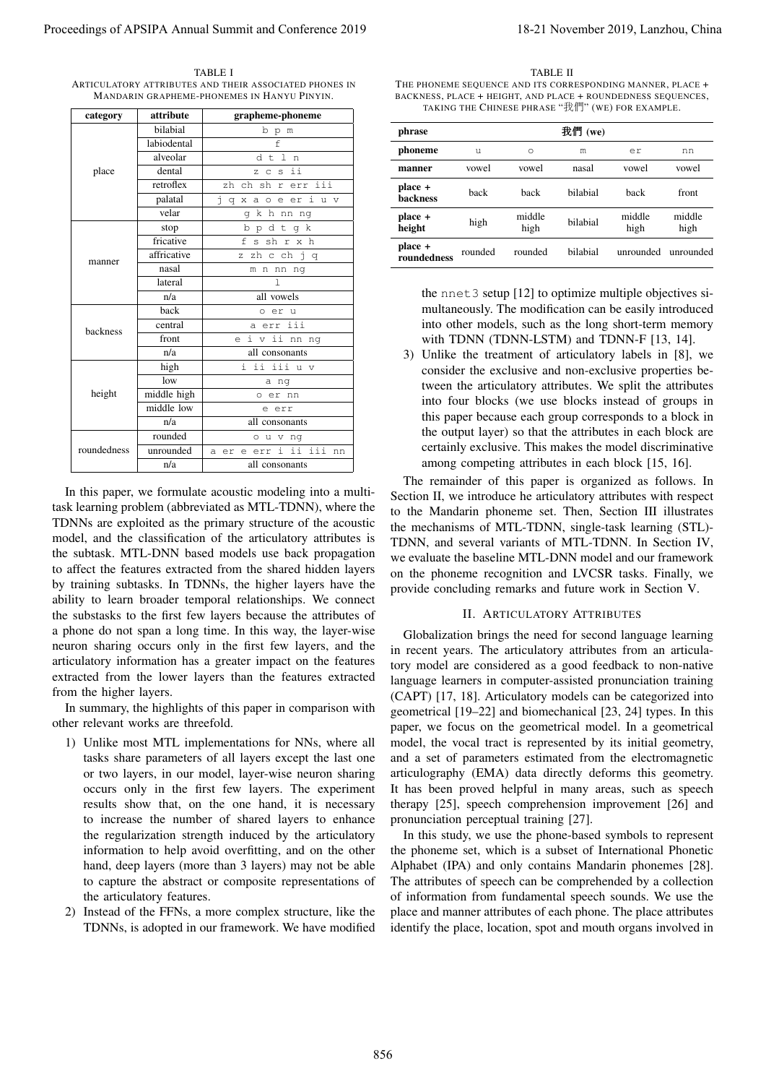TABLE I ARTICULATORY ATTRIBUTES AND THEIR ASSOCIATED PHONES IN MANDARIN GRAPHEME-PHONEMES IN HANYU PINYIN.

| category                | attribute                                                         | grapheme-phoneme                                                                                                                                                                                                                                                                                                                                                                                                                                                                                                                                                                                                                                                                                                                                                                                                                                                                                                                                                                            |                                                                                                                                                                                                                                                                                                                                                                                                                                                                                                                                                                                                                                                                                                                                                                                                                                                                                                                                                                                                                      |         |         |                                    | TAKING THE CHINESE PHRASE "我們" (WE) FOR EXAMPLE.                                                                         |        |
|-------------------------|-------------------------------------------------------------------|---------------------------------------------------------------------------------------------------------------------------------------------------------------------------------------------------------------------------------------------------------------------------------------------------------------------------------------------------------------------------------------------------------------------------------------------------------------------------------------------------------------------------------------------------------------------------------------------------------------------------------------------------------------------------------------------------------------------------------------------------------------------------------------------------------------------------------------------------------------------------------------------------------------------------------------------------------------------------------------------|----------------------------------------------------------------------------------------------------------------------------------------------------------------------------------------------------------------------------------------------------------------------------------------------------------------------------------------------------------------------------------------------------------------------------------------------------------------------------------------------------------------------------------------------------------------------------------------------------------------------------------------------------------------------------------------------------------------------------------------------------------------------------------------------------------------------------------------------------------------------------------------------------------------------------------------------------------------------------------------------------------------------|---------|---------|------------------------------------|--------------------------------------------------------------------------------------------------------------------------|--------|
|                         | bilabial                                                          | b p m                                                                                                                                                                                                                                                                                                                                                                                                                                                                                                                                                                                                                                                                                                                                                                                                                                                                                                                                                                                       | phrase                                                                                                                                                                                                                                                                                                                                                                                                                                                                                                                                                                                                                                                                                                                                                                                                                                                                                                                                                                                                               |         |         | 我們 (we)                            |                                                                                                                          |        |
|                         | labiodental<br>alveolar                                           | $\mathbf f$<br>dtln                                                                                                                                                                                                                                                                                                                                                                                                                                                                                                                                                                                                                                                                                                                                                                                                                                                                                                                                                                         | phoneme                                                                                                                                                                                                                                                                                                                                                                                                                                                                                                                                                                                                                                                                                                                                                                                                                                                                                                                                                                                                              | u       | $\circ$ | ${\rm m}$                          | er                                                                                                                       | nn     |
| place                   | dental                                                            | z c s ii                                                                                                                                                                                                                                                                                                                                                                                                                                                                                                                                                                                                                                                                                                                                                                                                                                                                                                                                                                                    | manner                                                                                                                                                                                                                                                                                                                                                                                                                                                                                                                                                                                                                                                                                                                                                                                                                                                                                                                                                                                                               | vowel   | vowel   | nasal                              | vowel                                                                                                                    | vowel  |
|                         | retroflex                                                         | zh ch sh r err iii                                                                                                                                                                                                                                                                                                                                                                                                                                                                                                                                                                                                                                                                                                                                                                                                                                                                                                                                                                          | place +                                                                                                                                                                                                                                                                                                                                                                                                                                                                                                                                                                                                                                                                                                                                                                                                                                                                                                                                                                                                              |         |         | bilabial                           |                                                                                                                          |        |
|                         | palatal                                                           | jqxaoeeriuv                                                                                                                                                                                                                                                                                                                                                                                                                                                                                                                                                                                                                                                                                                                                                                                                                                                                                                                                                                                 | backness                                                                                                                                                                                                                                                                                                                                                                                                                                                                                                                                                                                                                                                                                                                                                                                                                                                                                                                                                                                                             | back    | back    |                                    | back                                                                                                                     | front  |
|                         | velar                                                             | g k h nn ng                                                                                                                                                                                                                                                                                                                                                                                                                                                                                                                                                                                                                                                                                                                                                                                                                                                                                                                                                                                 | place +                                                                                                                                                                                                                                                                                                                                                                                                                                                                                                                                                                                                                                                                                                                                                                                                                                                                                                                                                                                                              | high    | middle  | bilabial                           | middle                                                                                                                   | middle |
|                         | stop<br>fricative                                                 | bpdtgk<br>f s sh r x h                                                                                                                                                                                                                                                                                                                                                                                                                                                                                                                                                                                                                                                                                                                                                                                                                                                                                                                                                                      | height                                                                                                                                                                                                                                                                                                                                                                                                                                                                                                                                                                                                                                                                                                                                                                                                                                                                                                                                                                                                               |         | high    |                                    | high                                                                                                                     | high   |
| manner                  | affricative                                                       | z zh c ch j q                                                                                                                                                                                                                                                                                                                                                                                                                                                                                                                                                                                                                                                                                                                                                                                                                                                                                                                                                                               | place +<br>$\,$ roundedness                                                                                                                                                                                                                                                                                                                                                                                                                                                                                                                                                                                                                                                                                                                                                                                                                                                                                                                                                                                          | rounded | rounded | bilabial                           | unrounded unrounded                                                                                                      |        |
|                         | nasal                                                             | m n nn ng                                                                                                                                                                                                                                                                                                                                                                                                                                                                                                                                                                                                                                                                                                                                                                                                                                                                                                                                                                                   |                                                                                                                                                                                                                                                                                                                                                                                                                                                                                                                                                                                                                                                                                                                                                                                                                                                                                                                                                                                                                      |         |         |                                    |                                                                                                                          |        |
|                         | lateral                                                           | $\mathbb{I}$                                                                                                                                                                                                                                                                                                                                                                                                                                                                                                                                                                                                                                                                                                                                                                                                                                                                                                                                                                                |                                                                                                                                                                                                                                                                                                                                                                                                                                                                                                                                                                                                                                                                                                                                                                                                                                                                                                                                                                                                                      |         |         |                                    |                                                                                                                          |        |
|                         | n/a                                                               | all vowels                                                                                                                                                                                                                                                                                                                                                                                                                                                                                                                                                                                                                                                                                                                                                                                                                                                                                                                                                                                  |                                                                                                                                                                                                                                                                                                                                                                                                                                                                                                                                                                                                                                                                                                                                                                                                                                                                                                                                                                                                                      |         |         |                                    | the nnet 3 setup [12] to optimize multiple objectives si-                                                                |        |
|                         | back                                                              | o er u                                                                                                                                                                                                                                                                                                                                                                                                                                                                                                                                                                                                                                                                                                                                                                                                                                                                                                                                                                                      |                                                                                                                                                                                                                                                                                                                                                                                                                                                                                                                                                                                                                                                                                                                                                                                                                                                                                                                                                                                                                      |         |         |                                    | multaneously. The modification can be easily introduced<br>into other models, such as the long short-term memory         |        |
| backness                | central<br>front                                                  | a err iii<br>e i v ii nn ng                                                                                                                                                                                                                                                                                                                                                                                                                                                                                                                                                                                                                                                                                                                                                                                                                                                                                                                                                                 |                                                                                                                                                                                                                                                                                                                                                                                                                                                                                                                                                                                                                                                                                                                                                                                                                                                                                                                                                                                                                      |         |         |                                    | with TDNN (TDNN-LSTM) and TDNN-F [13, 14].                                                                               |        |
|                         | n/a                                                               | all consonants                                                                                                                                                                                                                                                                                                                                                                                                                                                                                                                                                                                                                                                                                                                                                                                                                                                                                                                                                                              |                                                                                                                                                                                                                                                                                                                                                                                                                                                                                                                                                                                                                                                                                                                                                                                                                                                                                                                                                                                                                      |         |         |                                    | 3) Unlike the treatment of articulatory labels in [8], we                                                                |        |
|                         | high                                                              | i ii iii u v                                                                                                                                                                                                                                                                                                                                                                                                                                                                                                                                                                                                                                                                                                                                                                                                                                                                                                                                                                                |                                                                                                                                                                                                                                                                                                                                                                                                                                                                                                                                                                                                                                                                                                                                                                                                                                                                                                                                                                                                                      |         |         |                                    | consider the exclusive and non-exclusive properties be-                                                                  |        |
|                         | low                                                               | a ng                                                                                                                                                                                                                                                                                                                                                                                                                                                                                                                                                                                                                                                                                                                                                                                                                                                                                                                                                                                        |                                                                                                                                                                                                                                                                                                                                                                                                                                                                                                                                                                                                                                                                                                                                                                                                                                                                                                                                                                                                                      |         |         |                                    | tween the articulatory attributes. We split the attributes                                                               |        |
| height                  | middle high                                                       | o er nn                                                                                                                                                                                                                                                                                                                                                                                                                                                                                                                                                                                                                                                                                                                                                                                                                                                                                                                                                                                     |                                                                                                                                                                                                                                                                                                                                                                                                                                                                                                                                                                                                                                                                                                                                                                                                                                                                                                                                                                                                                      |         |         |                                    | into four blocks (we use blocks instead of groups in                                                                     |        |
|                         | middle low                                                        | e err                                                                                                                                                                                                                                                                                                                                                                                                                                                                                                                                                                                                                                                                                                                                                                                                                                                                                                                                                                                       |                                                                                                                                                                                                                                                                                                                                                                                                                                                                                                                                                                                                                                                                                                                                                                                                                                                                                                                                                                                                                      |         |         |                                    | this paper because each group corresponds to a block in                                                                  |        |
|                         | n/a<br>rounded                                                    | all consonants<br>o u v ng                                                                                                                                                                                                                                                                                                                                                                                                                                                                                                                                                                                                                                                                                                                                                                                                                                                                                                                                                                  |                                                                                                                                                                                                                                                                                                                                                                                                                                                                                                                                                                                                                                                                                                                                                                                                                                                                                                                                                                                                                      |         |         |                                    | the output layer) so that the attributes in each block are                                                               |        |
| roundedness             | unrounded                                                         | a er e err i ii iii nn                                                                                                                                                                                                                                                                                                                                                                                                                                                                                                                                                                                                                                                                                                                                                                                                                                                                                                                                                                      |                                                                                                                                                                                                                                                                                                                                                                                                                                                                                                                                                                                                                                                                                                                                                                                                                                                                                                                                                                                                                      |         |         |                                    | certainly exclusive. This makes the model discriminative                                                                 |        |
|                         | n/a                                                               | all consonants                                                                                                                                                                                                                                                                                                                                                                                                                                                                                                                                                                                                                                                                                                                                                                                                                                                                                                                                                                              |                                                                                                                                                                                                                                                                                                                                                                                                                                                                                                                                                                                                                                                                                                                                                                                                                                                                                                                                                                                                                      |         |         |                                    | among competing attributes in each block [15, 16].                                                                       |        |
|                         |                                                                   | In this paper, we formulate acoustic modeling into a multi-<br>task learning problem (abbreviated as MTL-TDNN), where the<br>TDNNs are exploited as the primary structure of the acoustic<br>model, and the classification of the articulatory attributes is<br>the subtask. MTL-DNN based models use back propagation<br>to affect the features extracted from the shared hidden layers<br>by training subtasks. In TDNNs, the higher layers have the<br>ability to learn broader temporal relationships. We connect                                                                                                                                                                                                                                                                                                                                                                                                                                                                       | Section II, we introduce he articulatory attributes with respect<br>to the Mandarin phoneme set. Then, Section III illustrates<br>the mechanisms of MTL-TDNN, single-task learning (STL)-<br>TDNN, and several variants of MTL-TDNN. In Section IV,<br>we evaluate the baseline MTL-DNN model and our framework<br>on the phoneme recognition and LVCSR tasks. Finally, we<br>provide concluding remarks and future work in Section V.                                                                                                                                                                                                                                                                                                                                                                                                                                                                                                                                                                               |         |         |                                    |                                                                                                                          |        |
| from the higher layers. | other relevant works are threefold.<br>the articulatory features. | the substasks to the first few layers because the attributes of<br>a phone do not span a long time. In this way, the layer-wise<br>neuron sharing occurs only in the first few layers, and the<br>articulatory information has a greater impact on the features<br>extracted from the lower layers than the features extracted<br>In summary, the highlights of this paper in comparison with<br>1) Unlike most MTL implementations for NNs, where all<br>tasks share parameters of all layers except the last one<br>or two layers, in our model, layer-wise neuron sharing<br>occurs only in the first few layers. The experiment<br>results show that, on the one hand, it is necessary<br>to increase the number of shared layers to enhance<br>the regularization strength induced by the articulatory<br>information to help avoid overfitting, and on the other<br>hand, deep layers (more than 3 layers) may not be able<br>to capture the abstract or composite representations of | in recent years. The articulatory attributes from an articula-<br>tory model are considered as a good feedback to non-native<br>language learners in computer-assisted pronunciation training<br>(CAPT) [17, 18]. Articulatory models can be categorized into<br>geometrical [19–22] and biomechanical [23, 24] types. In this<br>paper, we focus on the geometrical model. In a geometrical<br>model, the vocal tract is represented by its initial geometry,<br>and a set of parameters estimated from the electromagnetic<br>articulography (EMA) data directly deforms this geometry.<br>It has been proved helpful in many areas, such as speech<br>therapy [25], speech comprehension improvement [26] and<br>pronunciation perceptual training [27].<br>the phoneme set, which is a subset of International Phonetic<br>Alphabet (IPA) and only contains Mandarin phonemes [28].<br>The attributes of speech can be comprehended by a collection<br>of information from fundamental speech sounds. We use the |         |         | <b>II. ARTICULATORY ATTRIBUTES</b> | Globalization brings the need for second language learning<br>In this study, we use the phone-based symbols to represent |        |

- 1) Unlike most MTL implementations for NNs, where all tasks share parameters of all layers except the last one or two layers, in our model, layer-wise neuron sharing occurs only in the first few layers. The experiment results show that, on the one hand, it is necessary to increase the number of shared layers to enhance the regularization strength induced by the articulatory information to help avoid overfitting, and on the other hand, deep layers (more than 3 layers) may not be able to capture the abstract or composite representations of the articulatory features.
- 2) Instead of the FFNs, a more complex structure, like the TDNNs, is adopted in our framework. We have modified

TABLE II

| phrase                 | 我們 (we) |                |          |                |                |
|------------------------|---------|----------------|----------|----------------|----------------|
| phoneme                | u       | $\circ$        | m        | er             | nn             |
| manner                 | vowel   | vowel          | nasal    | vowel          | vowel          |
| place +<br>backness    | hack    | hack           | hilahial | hack           | front          |
| place +<br>height      | high    | middle<br>high | bilabial | middle<br>high | middle<br>high |
| place +<br>roundedness | rounded | rounded        | hilahial | unrounded      | unrounded      |

#### II. ARTICULATORY ATTRIBUTES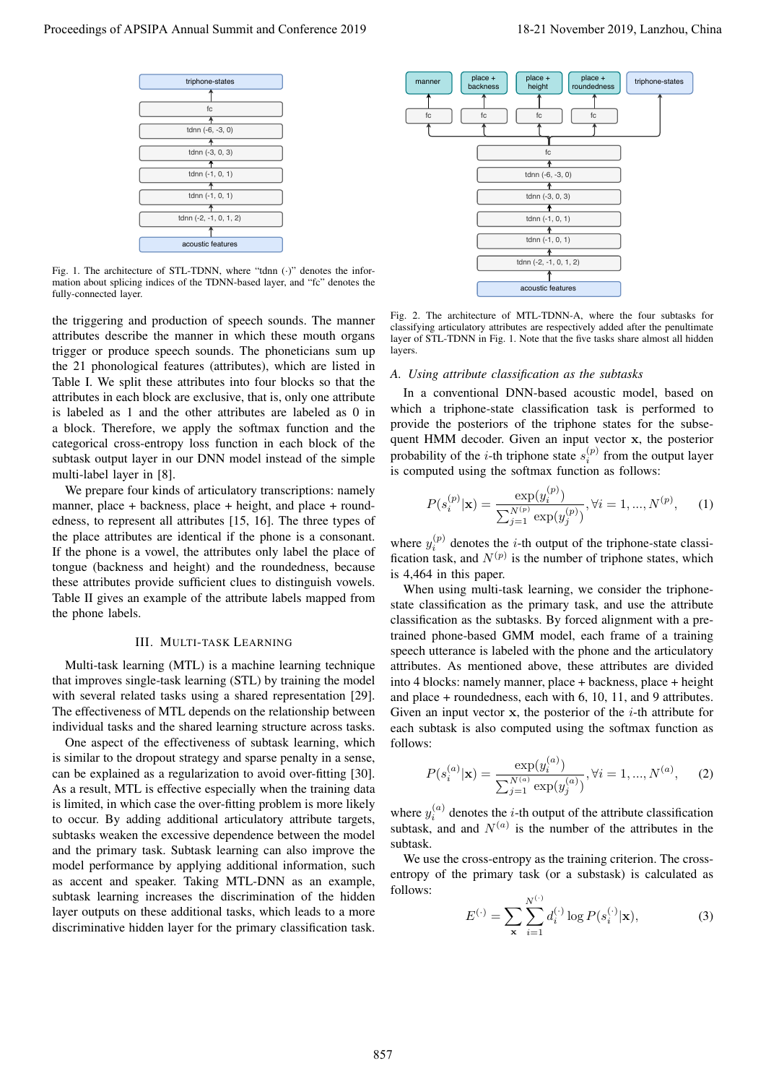

Fig. 1. The architecture of STL-TDNN, where "tdnn  $(\cdot)$ " denotes the information about splicing indices of the TDNN-based layer, and "fc" denotes the fully-connected layer.

the triggering and production of speech sounds. The manner attributes describe the manner in which these mouth organs trigger or produce speech sounds. The phoneticians sum up the 21 phonological features (attributes), which are listed in Table I. We split these attributes into four blocks so that the attributes in each block are exclusive, that is, only one attribute is labeled as 1 and the other attributes are labeled as 0 in a block. Therefore, we apply the softmax function and the categorical cross-entropy loss function in each block of the subtask output layer in our DNN model instead of the simple multi-label layer in [8].

We prepare four kinds of articulatory transcriptions: namely manner, place + backness, place + height, and place + roundedness, to represent all attributes [15, 16]. The three types of the place attributes are identical if the phone is a consonant. If the phone is a vowel, the attributes only label the place of tongue (backness and height) and the roundedness, because these attributes provide sufficient clues to distinguish vowels. Table II gives an example of the attribute labels mapped from the phone labels.

# III. MULTI-TASK LEARNING

Multi-task learning (MTL) is a machine learning technique that improves single-task learning (STL) by training the model with several related tasks using a shared representation [29]. The effectiveness of MTL depends on the relationship between individual tasks and the shared learning structure across tasks.

One aspect of the effectiveness of subtask learning, which is similar to the dropout strategy and sparse penalty in a sense, can be explained as a regularization to avoid over-fitting [30]. As a result, MTL is effective especially when the training data is limited, in which case the over-fitting problem is more likely to occur. By adding additional articulatory attribute targets, subtasks weaken the excessive dependence between the model and the primary task. Subtask learning can also improve the model performance by applying additional information, such as accent and speaker. Taking MTL-DNN as an example, subtask learning increases the discrimination of the hidden layer outputs on these additional tasks, which leads to a more discriminative hidden layer for the primary classification task.



Fig. 2. The architecture of MTL-TDNN-A, where the four subtasks for classifying articulatory attributes are respectively added after the penultimate layer of STL-TDNN in Fig. 1. Note that the five tasks share almost all hidden layers.

# *A. Using attribute classification as the subtasks*

In a conventional DNN-based acoustic model, based on which a triphone-state classification task is performed to provide the posteriors of the triphone states for the subsequent HMM decoder. Given an input vector x, the posterior probability of the *i*-th triphone state  $s_i^{(p)}$  from the output layer is computed using the softmax function as follows:

$$
P(s_i^{(p)}|\mathbf{x}) = \frac{\exp(y_i^{(p)})}{\sum_{j=1}^{N^{(p)}} \exp(y_j^{(p)})}, \forall i = 1, ..., N^{(p)}, \quad (1)
$$

where  $y_i^{(p)}$  denotes the *i*-th output of the triphone-state classification task, and  $N^{(p)}$  is the number of triphone states, which is 4,464 in this paper.

When using multi-task learning, we consider the triphonestate classification as the primary task, and use the attribute classification as the subtasks. By forced alignment with a pretrained phone-based GMM model, each frame of a training speech utterance is labeled with the phone and the articulatory attributes. As mentioned above, these attributes are divided into 4 blocks: namely manner, place + backness, place + height and place + roundedness, each with 6, 10, 11, and 9 attributes. Given an input vector  $x$ , the posterior of the *i*-th attribute for each subtask is also computed using the softmax function as follows:

$$
P(s_i^{(a)}|\mathbf{x}) = \frac{\exp(y_i^{(a)})}{\sum_{j=1}^{N^{(a)}} \exp(y_j^{(a)})}, \forall i = 1, ..., N^{(a)}, \quad (2)
$$

where  $y_i^{(a)}$  denotes the *i*-th output of the attribute classification subtask, and and  $N^{(a)}$  is the number of the attributes in the subtask.

We use the cross-entropy as the training criterion. The crossentropy of the primary task (or a substask) is calculated as follows:

$$
E^{(\cdot)} = \sum_{\mathbf{x}} \sum_{i=1}^{N^{(\cdot)}} d_i^{(\cdot)} \log P(s_i^{(\cdot)} | \mathbf{x}), \tag{3}
$$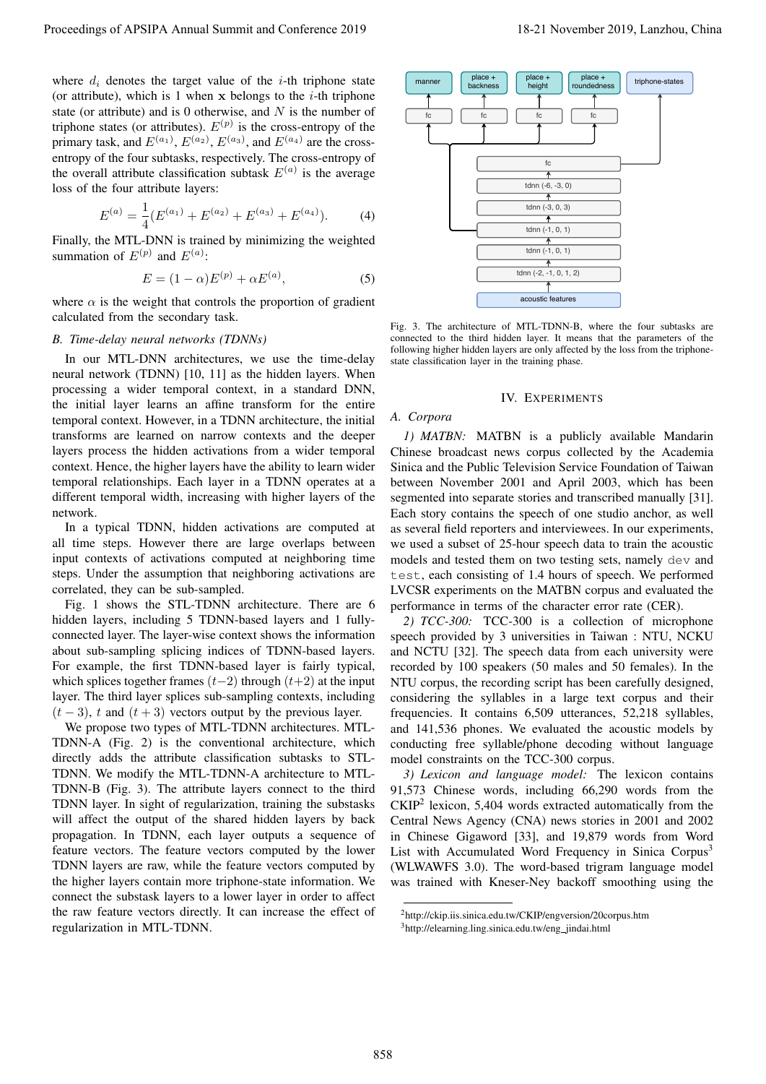where  $d_i$  denotes the target value of the *i*-th triphone state (or attribute), which is 1 when  $x$  belongs to the *i*-th triphone state (or attribute) and is 0 otherwise, and  $N$  is the number of triphone states (or attributes).  $E^{(p)}$  is the cross-entropy of the primary task, and  $E^{(a_1)}$ ,  $E^{(a_2)}$ ,  $E^{(a_3)}$ , and  $E^{(a_4)}$  are the crossentropy of the four subtasks, respectively. The cross-entropy of the overall attribute classification subtask  $E^{(a)}$  is the average loss of the four attribute layers:

$$
E^{(a)} = \frac{1}{4} (E^{(a_1)} + E^{(a_2)} + E^{(a_3)} + E^{(a_4)}).
$$
 (4)

Finally, the MTL-DNN is trained by minimizing the weighted summation of  $E^{(p)}$  and  $E^{(a)}$ :

$$
E = (1 - \alpha)E^{(p)} + \alpha E^{(a)},\tag{5}
$$

where  $\alpha$  is the weight that controls the proportion of gradient calculated from the secondary task.

#### *B. Time-delay neural networks (TDNNs)*

In our MTL-DNN architectures, we use the time-delay neural network (TDNN) [10, 11] as the hidden layers. When processing a wider temporal context, in a standard DNN, the initial layer learns an affine transform for the entire temporal context. However, in a TDNN architecture, the initial transforms are learned on narrow contexts and the deeper layers process the hidden activations from a wider temporal context. Hence, the higher layers have the ability to learn wider temporal relationships. Each layer in a TDNN operates at a different temporal width, increasing with higher layers of the network.

In a typical TDNN, hidden activations are computed at all time steps. However there are large overlaps between input contexts of activations computed at neighboring time steps. Under the assumption that neighboring activations are correlated, they can be sub-sampled.

Fig. 1 shows the STL-TDNN architecture. There are 6 hidden layers, including 5 TDNN-based layers and 1 fullyconnected layer. The layer-wise context shows the information about sub-sampling splicing indices of TDNN-based layers. For example, the first TDNN-based layer is fairly typical, which splices together frames  $(t-2)$  through  $(t+2)$  at the input layer. The third layer splices sub-sampling contexts, including  $(t-3)$ , t and  $(t+3)$  vectors output by the previous layer.

We propose two types of MTL-TDNN architectures. MTL-TDNN-A (Fig. 2) is the conventional architecture, which directly adds the attribute classification subtasks to STL-TDNN. We modify the MTL-TDNN-A architecture to MTL-TDNN-B (Fig. 3). The attribute layers connect to the third TDNN layer. In sight of regularization, training the substasks will affect the output of the shared hidden layers by back propagation. In TDNN, each layer outputs a sequence of feature vectors. The feature vectors computed by the lower TDNN layers are raw, while the feature vectors computed by the higher layers contain more triphone-state information. We connect the substask layers to a lower layer in order to affect the raw feature vectors directly. It can increase the effect of regularization in MTL-TDNN.



Fig. 3. The architecture of MTL-TDNN-B, where the four subtasks are connected to the third hidden layer. It means that the parameters of the following higher hidden layers are only affected by the loss from the triphonestate classification layer in the training phase.

#### IV. EXPERIMENTS

# *A. Corpora*

*1) MATBN:* MATBN is a publicly available Mandarin Chinese broadcast news corpus collected by the Academia Sinica and the Public Television Service Foundation of Taiwan between November 2001 and April 2003, which has been segmented into separate stories and transcribed manually [31]. Each story contains the speech of one studio anchor, as well as several field reporters and interviewees. In our experiments, we used a subset of 25-hour speech data to train the acoustic models and tested them on two testing sets, namely dev and test, each consisting of 1.4 hours of speech. We performed LVCSR experiments on the MATBN corpus and evaluated the performance in terms of the character error rate (CER).

*2) TCC-300:* TCC-300 is a collection of microphone speech provided by 3 universities in Taiwan : NTU, NCKU and NCTU [32]. The speech data from each university were recorded by 100 speakers (50 males and 50 females). In the NTU corpus, the recording script has been carefully designed, considering the syllables in a large text corpus and their frequencies. It contains 6,509 utterances, 52,218 syllables, and 141,536 phones. We evaluated the acoustic models by conducting free syllable/phone decoding without language model constraints on the TCC-300 corpus.

*3) Lexicon and language model:* The lexicon contains 91,573 Chinese words, including 66,290 words from the CKIP<sup>2</sup> lexicon, 5,404 words extracted automatically from the Central News Agency (CNA) news stories in 2001 and 2002 in Chinese Gigaword [33], and 19,879 words from Word List with Accumulated Word Frequency in Sinica Corpus<sup>3</sup> (WLWAWFS 3.0). The word-based trigram language model was trained with Kneser-Ney backoff smoothing using the

<sup>2</sup>http://ckip.iis.sinica.edu.tw/CKIP/engversion/20corpus.htm <sup>3</sup>http://elearning.ling.sinica.edu.tw/eng jindai.html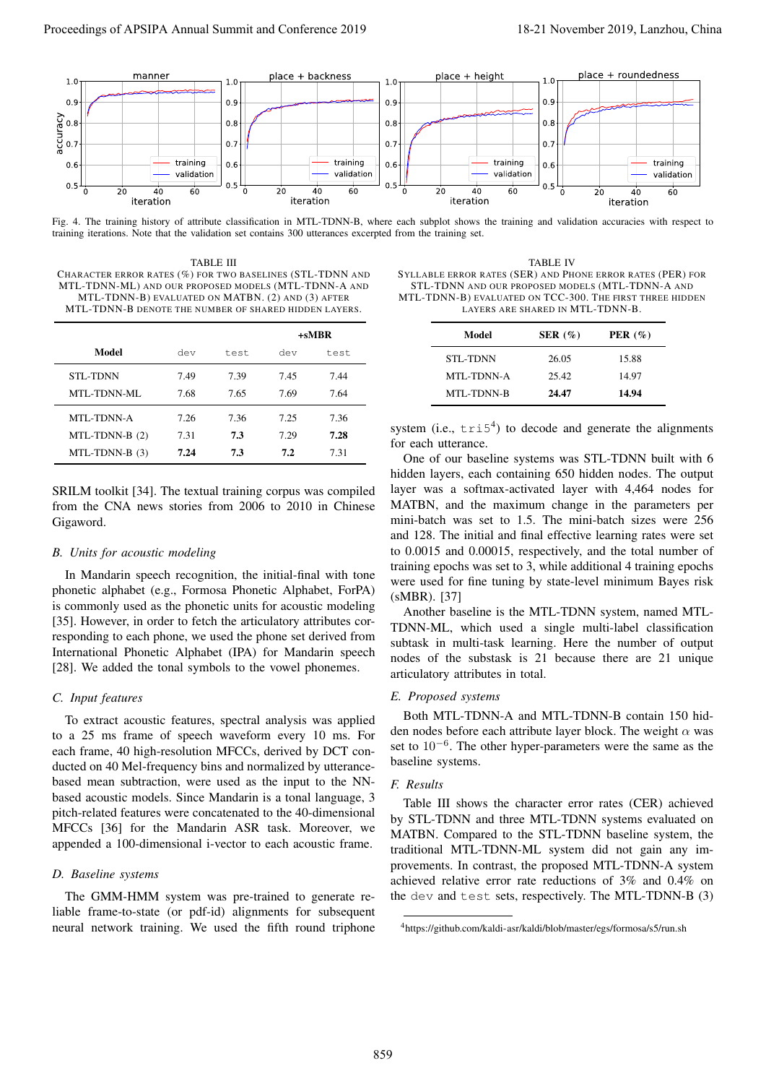

Fig. 4. The training history of attribute classification in MTL-TDNN-B, where each subplot shows the training and validation accuracies with respect to training iterations. Note that the validation set contains 300 utterances excerpted from the training set.

TABLE III CHARACTER ERROR RATES (%) FOR TWO BASELINES (STL-TDNN AND MTL-TDNN-ML) AND OUR PROPOSED MODELS (MTL-TDNN-A AND MTL-TDNN-B) EVALUATED ON MATBN. (2) AND (3) AFTER MTL-TDNN-B DENOTE THE NUMBER OF SHARED HIDDEN LAYERS.

|                   |      |      | +sMBR |      |  |
|-------------------|------|------|-------|------|--|
| Model             | dev  | test | dev   | test |  |
| <b>STL-TDNN</b>   | 7.49 | 7.39 | 7.45  | 7.44 |  |
| MTL-TDNN-ML       | 7.68 | 7.65 | 7.69  | 7.64 |  |
| <b>MTL-TDNN-A</b> | 7.26 | 7.36 | 7.25  | 7.36 |  |
| $MTL-TDNN-B(2)$   | 7.31 | 7.3  | 7.29  | 7.28 |  |
| $MTL-TDNN-B(3)$   | 7.24 | 7.3  | 7.2   | 7.31 |  |

SRILM toolkit [34]. The textual training corpus was compiled from the CNA news stories from 2006 to 2010 in Chinese Gigaword.

#### *B. Units for acoustic modeling*

In Mandarin speech recognition, the initial-final with tone phonetic alphabet (e.g., Formosa Phonetic Alphabet, ForPA) is commonly used as the phonetic units for acoustic modeling [35]. However, in order to fetch the articulatory attributes corresponding to each phone, we used the phone set derived from International Phonetic Alphabet (IPA) for Mandarin speech [28]. We added the tonal symbols to the vowel phonemes.

# *C. Input features*

To extract acoustic features, spectral analysis was applied to a 25 ms frame of speech waveform every 10 ms. For each frame, 40 high-resolution MFCCs, derived by DCT conducted on 40 Mel-frequency bins and normalized by utterancebased mean subtraction, were used as the input to the NNbased acoustic models. Since Mandarin is a tonal language, 3 pitch-related features were concatenated to the 40-dimensional MFCCs [36] for the Mandarin ASR task. Moreover, we appended a 100-dimensional i-vector to each acoustic frame.

# *D. Baseline systems*

The GMM-HMM system was pre-trained to generate reliable frame-to-state (or pdf-id) alignments for subsequent neural network training. We used the fifth round triphone

TABLE IV SYLLABLE ERROR RATES (SER) AND PHONE ERROR RATES (PER) FOR STL-TDNN AND OUR PROPOSED MODELS (MTL-TDNN-A AND MTL-TDNN-B) EVALUATED ON TCC-300. THE FIRST THREE HIDDEN LAYERS ARE SHARED IN MTL-TDNN-B.

| Model             | SER $(\%)$ | PER $(\% )$ |
|-------------------|------------|-------------|
| <b>STL-TDNN</b>   | 26.05      | 15.88       |
| MTL-TDNN-A        | 25.42      | 14.97       |
| <b>MTL-TDNN-B</b> | 24.47      | 14.94       |

system (i.e.,  $tri5<sup>4</sup>$ ) to decode and generate the alignments for each utterance.

One of our baseline systems was STL-TDNN built with 6 hidden layers, each containing 650 hidden nodes. The output layer was a softmax-activated layer with 4,464 nodes for MATBN, and the maximum change in the parameters per mini-batch was set to 1.5. The mini-batch sizes were 256 and 128. The initial and final effective learning rates were set to 0.0015 and 0.00015, respectively, and the total number of training epochs was set to 3, while additional 4 training epochs were used for fine tuning by state-level minimum Bayes risk (sMBR). [37]

Another baseline is the MTL-TDNN system, named MTL-TDNN-ML, which used a single multi-label classification subtask in multi-task learning. Here the number of output nodes of the substask is 21 because there are 21 unique articulatory attributes in total.

### *E. Proposed systems*

Both MTL-TDNN-A and MTL-TDNN-B contain 150 hidden nodes before each attribute layer block. The weight  $\alpha$  was set to 10<sup>-6</sup>. The other hyper-parameters were the same as the baseline systems.

### *F. Results*

Table III shows the character error rates (CER) achieved by STL-TDNN and three MTL-TDNN systems evaluated on MATBN. Compared to the STL-TDNN baseline system, the traditional MTL-TDNN-ML system did not gain any improvements. In contrast, the proposed MTL-TDNN-A system achieved relative error rate reductions of 3% and 0.4% on the dev and test sets, respectively. The MTL-TDNN-B (3)

<sup>4</sup>https://github.com/kaldi-asr/kaldi/blob/master/egs/formosa/s5/run.sh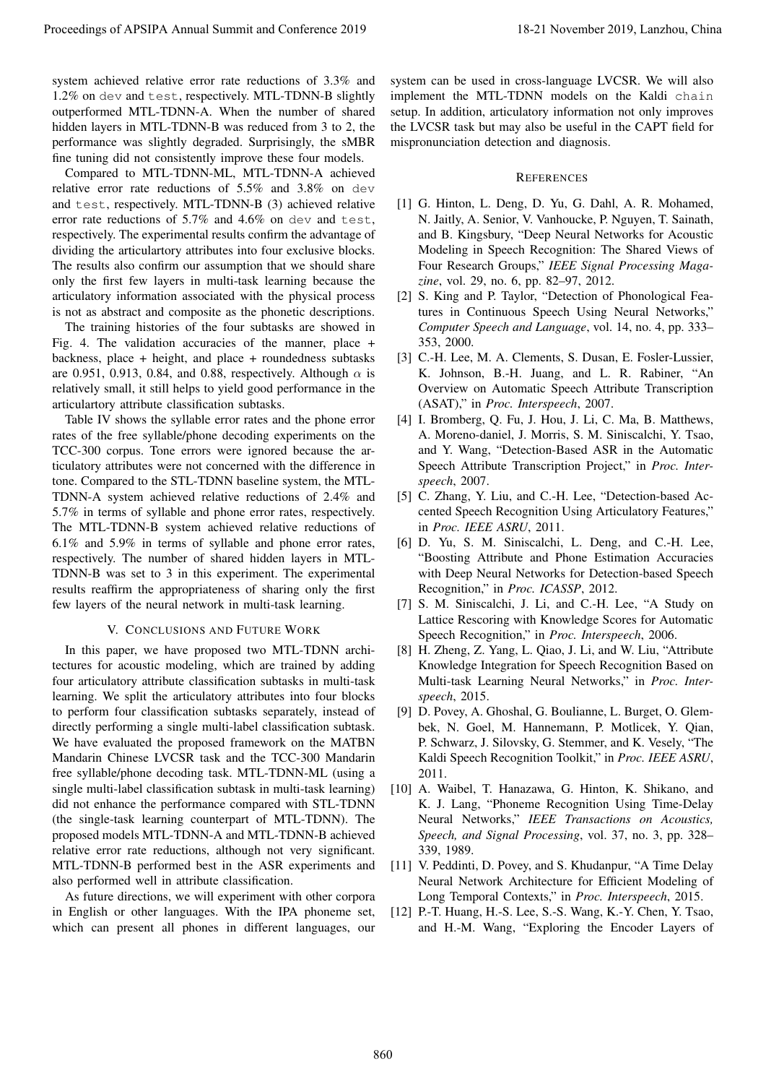system achieved relative error rate reductions of 3.3% and 1.2% on dev and test, respectively. MTL-TDNN-B slightly outperformed MTL-TDNN-A. When the number of shared hidden layers in MTL-TDNN-B was reduced from 3 to 2, the performance was slightly degraded. Surprisingly, the sMBR fine tuning did not consistently improve these four models.

Compared to MTL-TDNN-ML, MTL-TDNN-A achieved relative error rate reductions of 5.5% and 3.8% on dev and test, respectively. MTL-TDNN-B (3) achieved relative error rate reductions of 5.7% and 4.6% on dev and test, respectively. The experimental results confirm the advantage of dividing the articulartory attributes into four exclusive blocks. The results also confirm our assumption that we should share only the first few layers in multi-task learning because the articulatory information associated with the physical process is not as abstract and composite as the phonetic descriptions.

The training histories of the four subtasks are showed in Fig. 4. The validation accuracies of the manner, place + backness, place + height, and place + roundedness subtasks are 0.951, 0.913, 0.84, and 0.88, respectively. Although  $\alpha$  is relatively small, it still helps to yield good performance in the articulartory attribute classification subtasks.

Table IV shows the syllable error rates and the phone error rates of the free syllable/phone decoding experiments on the TCC-300 corpus. Tone errors were ignored because the articulatory attributes were not concerned with the difference in tone. Compared to the STL-TDNN baseline system, the MTL-TDNN-A system achieved relative reductions of 2.4% and 5.7% in terms of syllable and phone error rates, respectively. The MTL-TDNN-B system achieved relative reductions of 6.1% and 5.9% in terms of syllable and phone error rates, respectively. The number of shared hidden layers in MTL-TDNN-B was set to 3 in this experiment. The experimental results reaffirm the appropriateness of sharing only the first few layers of the neural network in multi-task learning.

#### V. CONCLUSIONS AND FUTURE WORK

In this paper, we have proposed two MTL-TDNN architectures for acoustic modeling, which are trained by adding four articulatory attribute classification subtasks in multi-task learning. We split the articulatory attributes into four blocks to perform four classification subtasks separately, instead of directly performing a single multi-label classification subtask. We have evaluated the proposed framework on the MATBN Mandarin Chinese LVCSR task and the TCC-300 Mandarin free syllable/phone decoding task. MTL-TDNN-ML (using a single multi-label classification subtask in multi-task learning) did not enhance the performance compared with STL-TDNN (the single-task learning counterpart of MTL-TDNN). The proposed models MTL-TDNN-A and MTL-TDNN-B achieved relative error rate reductions, although not very significant. MTL-TDNN-B performed best in the ASR experiments and also performed well in attribute classification. Proceedings of APSIPA Annual Summit at China Summit and Conference 2019 18-21 November 2019, Lanzhou, China Summit and Conference 2019 18-21 November 2019, Lanzhou, China Summit and Conference 2019, Lanzhou, China Summit

As future directions, we will experiment with other corpora in English or other languages. With the IPA phoneme set, which can present all phones in different languages, our system can be used in cross-language LVCSR. We will also implement the MTL-TDNN models on the Kaldi chain setup. In addition, articulatory information not only improves the LVCSR task but may also be useful in the CAPT field for mispronunciation detection and diagnosis.

#### **REFERENCES**

- [1] G. Hinton, L. Deng, D. Yu, G. Dahl, A. R. Mohamed, N. Jaitly, A. Senior, V. Vanhoucke, P. Nguyen, T. Sainath, and B. Kingsbury, "Deep Neural Networks for Acoustic Modeling in Speech Recognition: The Shared Views of Four Research Groups," *IEEE Signal Processing Magazine*, vol. 29, no. 6, pp. 82–97, 2012.
- [2] S. King and P. Taylor, "Detection of Phonological Features in Continuous Speech Using Neural Networks," *Computer Speech and Language*, vol. 14, no. 4, pp. 333– 353, 2000.
- [3] C.-H. Lee, M. A. Clements, S. Dusan, E. Fosler-Lussier, K. Johnson, B.-H. Juang, and L. R. Rabiner, "An Overview on Automatic Speech Attribute Transcription (ASAT)," in *Proc. Interspeech*, 2007.
- [4] I. Bromberg, Q. Fu, J. Hou, J. Li, C. Ma, B. Matthews, A. Moreno-daniel, J. Morris, S. M. Siniscalchi, Y. Tsao, and Y. Wang, "Detection-Based ASR in the Automatic Speech Attribute Transcription Project," in *Proc. Interspeech*, 2007.
- [5] C. Zhang, Y. Liu, and C.-H. Lee, "Detection-based Accented Speech Recognition Using Articulatory Features," in *Proc. IEEE ASRU*, 2011.
- [6] D. Yu, S. M. Siniscalchi, L. Deng, and C.-H. Lee, "Boosting Attribute and Phone Estimation Accuracies with Deep Neural Networks for Detection-based Speech Recognition," in *Proc. ICASSP*, 2012.
- [7] S. M. Siniscalchi, J. Li, and C.-H. Lee, "A Study on Lattice Rescoring with Knowledge Scores for Automatic Speech Recognition," in *Proc. Interspeech*, 2006.
- [8] H. Zheng, Z. Yang, L. Qiao, J. Li, and W. Liu, "Attribute Knowledge Integration for Speech Recognition Based on Multi-task Learning Neural Networks," in *Proc. Interspeech*, 2015.
- [9] D. Povey, A. Ghoshal, G. Boulianne, L. Burget, O. Glembek, N. Goel, M. Hannemann, P. Motlicek, Y. Qian, P. Schwarz, J. Silovsky, G. Stemmer, and K. Vesely, "The Kaldi Speech Recognition Toolkit," in *Proc. IEEE ASRU*, 2011.
- [10] A. Waibel, T. Hanazawa, G. Hinton, K. Shikano, and K. J. Lang, "Phoneme Recognition Using Time-Delay Neural Networks," *IEEE Transactions on Acoustics, Speech, and Signal Processing*, vol. 37, no. 3, pp. 328– 339, 1989.
- [11] V. Peddinti, D. Povey, and S. Khudanpur, "A Time Delay Neural Network Architecture for Efficient Modeling of Long Temporal Contexts," in *Proc. Interspeech*, 2015.
- [12] P.-T. Huang, H.-S. Lee, S.-S. Wang, K.-Y. Chen, Y. Tsao, and H.-M. Wang, "Exploring the Encoder Layers of